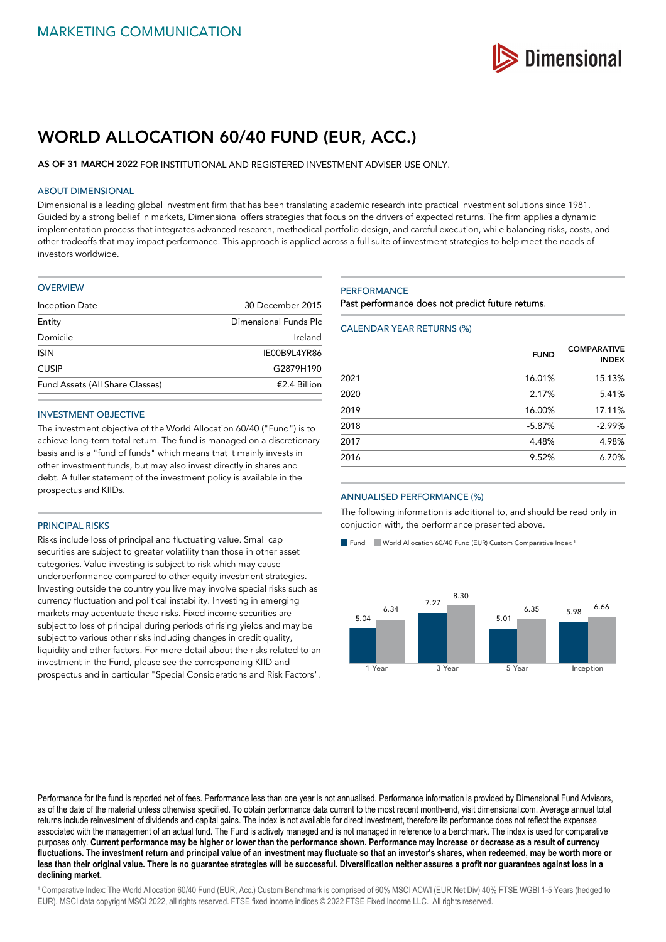

# **WORLD ALLOCATION 60/40 FUND (EUR, ACC.)**

## **AS OF 31 MARCH 2022** FOR INSTITUTIONAL AND REGISTERED INVESTMENT ADVISER USE ONLY.

## ABOUT DIMENSIONAL

Dimensional is a leading global investment firm that has been translating academic research into practical investment solutions since 1981. Guided by a strong belief in markets, Dimensional offers strategies that focus on the drivers of expected returns. The firm applies a dynamic implementation process that integrates advanced research, methodical portfolio design, and careful execution, while balancing risks, costs, and other tradeoffs that may impact performance. This approach is applied across a full suite of investment strategies to help meet the needs of investors worldwide.

#### **OVERVIEW**

| Inception Date                  | 30 December 2015      |
|---------------------------------|-----------------------|
| Entity                          | Dimensional Funds Plc |
| Domicile                        | Ireland               |
| <b>ISIN</b>                     | IE00B9L4YR86          |
| <b>CUSIP</b>                    | G2879H190             |
| Fund Assets (All Share Classes) | $£2.4$ Billion        |
|                                 |                       |

## INVESTMENT OBJECTIVE

The investment objective of the World Allocation 60/40 ("Fund") is to achieve long-term total return. The fund is managed on a discretionary basis and is a "fund of funds" which means that it mainly invests in other investment funds, but may also invest directly in shares and debt. A fuller statement of the investment policy is available in the prospectus and KIIDs.

## PRINCIPAL RISKS

Risks include loss of principal and fluctuating value. Small cap securities are subject to greater volatility than those in other asset categories. Value investing is subject to risk which may cause underperformance compared to other equity investment strategies. Investing outside the country you live may involve special risks such as currency fluctuation and political instability. Investing in emerging markets may accentuate these risks. Fixed income securities are subject to loss of principal during periods of rising yields and may be subject to various other risks including changes in credit quality, liquidity and other factors. For more detail about the risks related to an investment in the Fund, please see the corresponding KIID and prospectus and in particular "Special Considerations and Risk Factors".

## **PERFORMANCE**

Past performance does not predict future returns.

## CALENDAR YEAR RETURNS (%)

|      | <b>FUND</b> | <b>COMPARATIVE</b><br><b>INDEX</b> |
|------|-------------|------------------------------------|
| 2021 | 16.01%      | 15.13%                             |
| 2020 | 2.17%       | 5.41%                              |
| 2019 | 16.00%      | 17.11%                             |
| 2018 | $-5.87%$    | $-2.99%$                           |
| 2017 | 4.48%       | 4.98%                              |
| 2016 | 9.52%       | 6.70%                              |

#### ANNUALISED PERFORMANCE (%)

The following information is additional to, and should be read only in conjuction with, the performance presented above.

Fund World Allocation 60/40 Fund (EUR) Custom Comparative Index<sup>1</sup>



Performance for the fund is reported net of fees. Performance less than one year is not annualised. Performance information is provided by Dimensional Fund Advisors, as of the date of the material unless otherwise specified. To obtain performance data current to the most recent month-end, visit dimensional.com. Average annual total returns include reinvestment of dividends and capital gains. The index is not available for direct investment, therefore its performance does not reflect the expenses associated with the management of an actual fund. The Fund is actively managed and is not managed in reference to a benchmark. The index is used for comparative purposes only. **Current performance may be higher or lower than the performance shown. Performance may increase or decrease as a result of currency fluctuations. The investment return and principal value of an investment may fluctuate so that an investor's shares, when redeemed, may be worth more or less than their original value. There is no guarantee strategies will be successful. Diversification neither assures a profit nor guarantees against loss in a declining market.**

<sup>1</sup> Comparative Index: The World Allocation 60/40 Fund (EUR, Acc.) Custom Benchmark is comprised of 60% MSCI ACWI (EUR Net Div) 40% FTSE WGBI 1-5 Years (hedged to EUR). MSCI data copyright MSCI 2022, all rights reserved. FTSE fixed income indices © 2022 FTSE Fixed Income LLC. All rights reserved.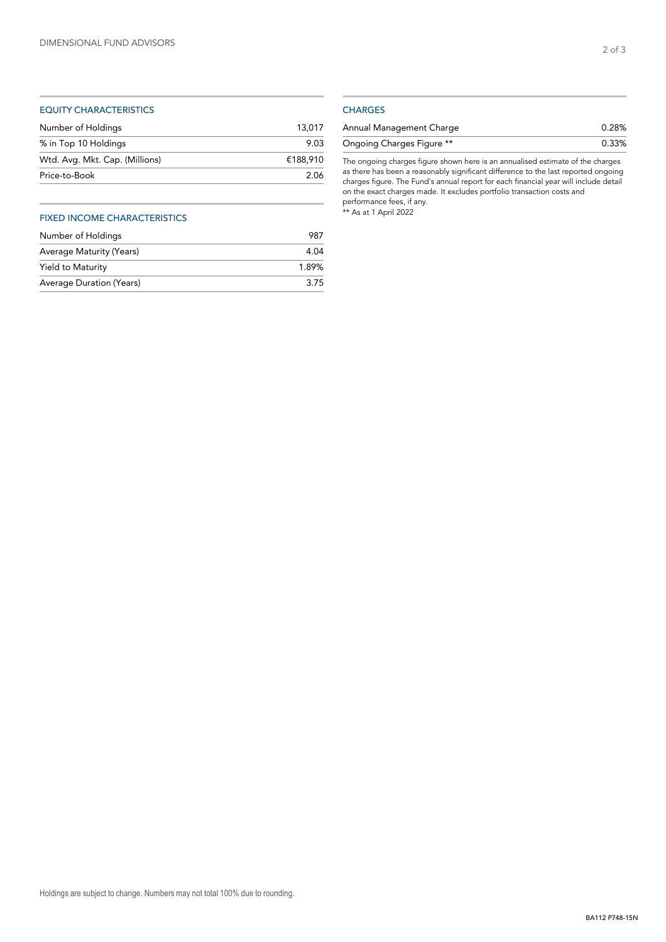## EQUITY CHARACTERISTICS

| 13.017   |
|----------|
| 9.03     |
| €188.910 |
| 2.06     |
|          |

## FIXED INCOME CHARACTERISTICS

| Number of Holdings       | 987   |
|--------------------------|-------|
| Average Maturity (Years) | 4.04  |
| Yield to Maturity        | 1.89% |
| Average Duration (Years) | 3.75  |

## **CHARGES**

| Annual Management Charge  | 0.28% |
|---------------------------|-------|
| Ongoing Charges Figure ** | 0.33% |

The ongoing charges figure shown here is an annualised estimate of the charges as there has been a reasonably significant difference to the last reported ongoing charges figure. The Fund's annual report for each financial year will include detail on the exact charges made. It excludes portfolio transaction costs and performance fees, if any. \*\* As at 1 April 2022